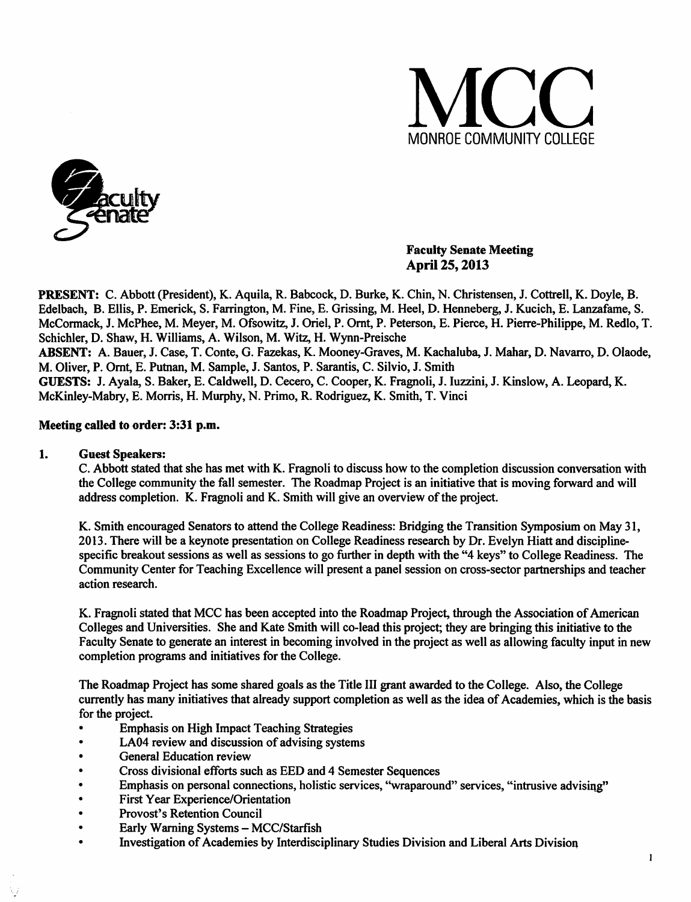



### *Faculty Senate Meeting April 25,2013*

*PRESENT:* C. Abbott (President), K. Aquila, R. Babcock, D. Burke, K. Chin, N. Christensen, J. Cottrell, K. Doyle, B. Edelbach, B. Ellis, P. Emerick, S. Farrington, M. Fine, E. Grissing, M. Heel, D. Henneberg, J. Kucich, E. Lanzafame, S. McCormack, J. McPhee, M. Meyer, M. Ofsowitz, J. Oriel, P. Ornt, P. Peterson, E. Pierce, H. Pierre-Philippe, M. Redlo, T. Schichler, D. Shaw, H. Williams, A. Wilson, M. Witz, H. Wynn-Preische *ABSENT:* A. Bauer, J. Case, T. Conte, G. Fazekas, K. Mooney-Graves, M. Kachaluba, J. Mahar, D. Navarro, D. Olaode, M. Oliver, P. Ornt, E. Putnan, M. Sample, J. Santos, P. Sarantis, C. Silvio, J. Smith *GUESTS:* J. Ayala, S. Baker, E. Caldwell, D. Cecero, C. Cooper, K. Fragnoli, J. Iuzzini, J. Kinslow, A. Leopard, K. McKinley-Mabry, E. Morris, H. Murphy, N. Primo, R. Rodriguez, K. Smith, T. Vinci

#### *Meeting called to order: 3:31 p.m.*

#### *1. Guest Speakers:*

C. Abbott stated that she has met with K. Fragnoli to discuss how to the completion discussion conversation with the College community the fall semester. The Roadmap Project is an initiative that is moving forward and will address completion. K. Fragnoli and K. Smith will give an overview of the project.

K. Smith encouraged Senators to attend the College Readiness: Bridging the Transition Symposium on May 31, 2013. There will be a keynote presentation on College Readiness research by Dr. Evelyn Hiatt and disciplinespecific breakout sessions as well as sessions to go further in depth with the "4 keys" to College Readiness. The Community Center for Teaching Excellence will present a panel session on cross-sector partnerships and teacher action research.

K. Fragnoli stated that MCC has been accepted into the Roadmap Project, through the Association of American Colleges and Universities. She and Kate Smith will co-lead this project; they are bringing this initiative to the Faculty Senate to generate an interest in becoming involved in the project as well as allowing faculty input in new completion programs and initiatives for the College.

The Roadmap Project has some shared goals as the Title *in* grant awarded to the College. Also, the College currently has many initiatives that already support completion as well as the idea of Academies, which is the basis for the project.

- Emphasis on High Impact Teaching Strategies
- LA04 review and discussion of advising systems
- General Education review
- Cross divisional efforts such as EED and 4 Semester Sequences
- Emphasis on personal connections, holistic services, "wraparound" services, "intrusive advising"
- First Year Experience/Orientation
- Provost's Retention Council
- Early Warning Systems MCC/Starfish
- Investigation of Academies by Interdisciplinary Studies Division and Liberal Arts Division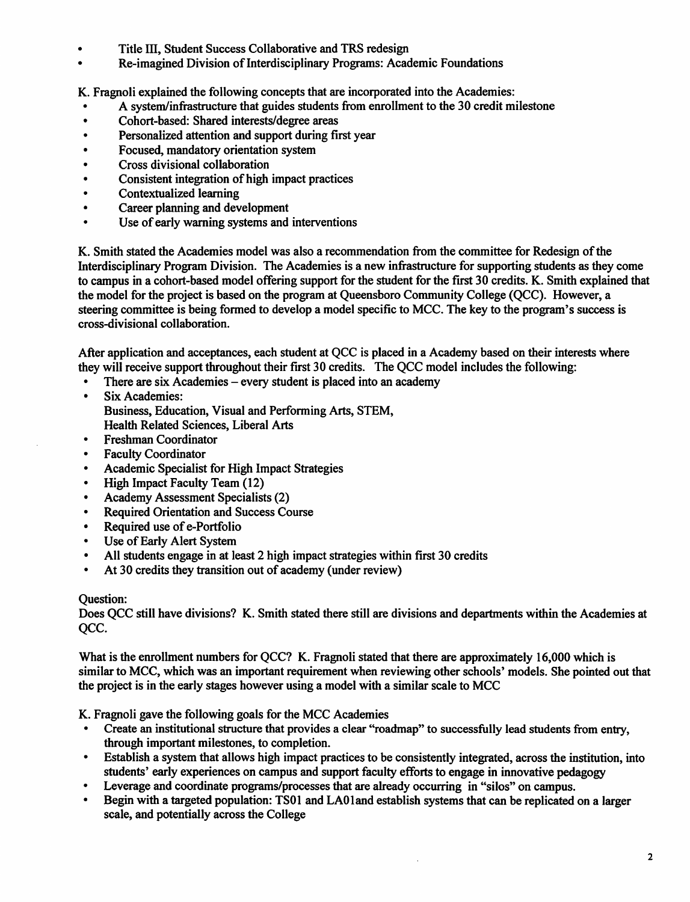- *• Title HI, Student Success Collaborative and TRS redesign*
- *\* Re-imagined Division ofInterdisciplinary Programs: Academic Foundations*

*K. Fragnoli explained the following concepts that are incorporated into the Academies:*

- *A system/infrastructure that guides students from enrollment to the 30 credit milestone*
- *Cohort-based: Shared interests/degree areas*
- *Personalized attention and support during first year*
- *Focused, mandatory orientation system*
- *• Cross divisional collaboration*
- *• Consistent integration ofhigh impact practices*
- *• Contextualized learning*
- *Career planning and development*
- *Use ofearly warning systems and interventions*

*K. Smith stated the Academies model was also a recommendation from the committee for Redesign ofthe Interdisciplinary Program Division. The Academies is a new infrastructure for supporting students as they come* to campus in a cohort-based model offering support for the student for the first 30 credits. K. Smith explained that *the model for the project is based on the program at Queensboro Community College (QCC). However, a steering committee is being formed to develop a model specific to MCC. The key to the program's success is cross-divisional collaboration.*

*After application and acceptances, each student at QCC is placed in a Academy based on their interests where they will receive support throughout their first 30 credits. The QCC model includes the following:*

- *There are six Academies - every student is placed into an academy*
- *• Six Academies: Business, Education, Visual and Performing Arts, STEM, Health Related Sciences, Liberal Arts*
- $\bullet$ *Freshman Coordinator*
- *Faculty Coordinator*  $\bullet$
- *Academic Specialist for High Impact Strategies*
- $\bullet$ *High Impact Faculty Team (12)*
- $\bullet$ *Academy Assessment Specialists (2)*
- *Required Orientation and Success Course*  $\bullet$
- *Required use ofe-Portfolio*  $\bullet$
- *Use ofEarly Alert System*  $\bullet$
- *All students engage in at least 2 high impact strategies within first 30 credits*
- $\bullet$ *At 30 credits they transition out ofacademy (under review)*

#### *Question:*

*Does QCC still have divisions? K. Smith stated there still are divisions and departments within the Academies at QCC.*

*What is the enrollment numbers for QCC? K. Fragnoli stated that there are approximately 16,000 which is similar to MCC, which was an important requirement when reviewing other schools' models. She pointed out that the project is in the early stages however using a model with a similar scale to MCC*

*K. Fragnoli gave the following goals for the MCC Academies*

- *Create an institutional structure that provides a clear "roadmap" to successfully lead students from entry, through important milestones, to completion.*
- *Establish a system that allows high impact practicesto be consistently integrated, across the institution, into students' early experiences on campus and support faculty efforts to engage in innovative pedagogy*
- *Leverage and coordinate programs/processes that arealready occurring in "silos" on campus.*
- *Begin with a targeted population: TS01 and LA01and establish systems that can be replicated on a larger scale, and potentially across the College*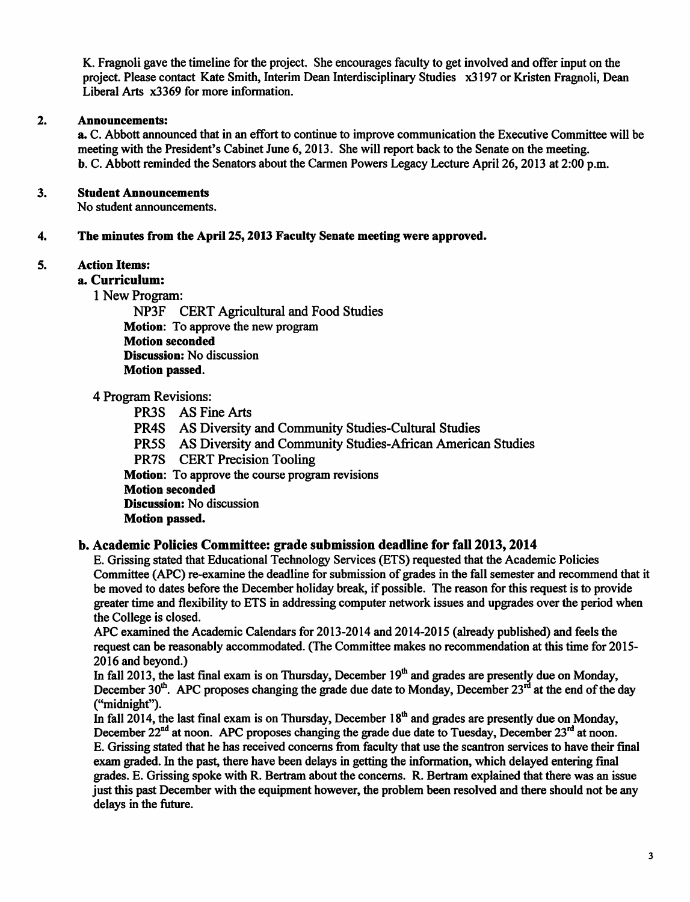K. Fragnoli gave the timeline for the project. She encourages faculty to get involved and offer input on the project. Please contact Kate Smith, Interim Dean Interdisciplinary Studies x3197 or Kristen Fragnoli, Dean Liberal Arts x3369 for more information.

### 2. *Announcements:*

a. C. Abbott announced that in an effort to continue to improve communication the Executive Committee will be meeting with the President's Cabinet June 6,2013. She will report back to the Senate on the meeting. b. C. Abbott reminded the Senators about the Carmen Powers Legacy Lecture April 26,2013 at 2:00 p.m.

## 3. *Student Announcements*

No student announcements.

### *4. The minutes from the April 25,2013 Faculty Senate meeting were approved.*

### *5. Action Items:*

*a. Curriculum:*

1 New Program:

NP3F CERT Agricultural and Food Studies *Motion:* To approve the new program *Motion seconded Discussion:* No discussion *Motion passed.*

### 4 Program Revisions:

PR3S AS Fine Arts

PR4S AS Diversity and Community Studies-Cultural Studies

- PR5S AS Diversity and Community Studies-African American Studies
- PR7S CERT Precision Tooling

*Motion:* To approve the course program revisions

*Motion seconded*

*Discussion:* No discussion

# *Motion passed.*

# *b. Academic Policies Committee: grade submission deadline for fall 2013,2014*

E. Grissing stated that Educational Technology Services (ETS) requested that the Academic Policies Committee (APC) re-examine the deadline for submission of grades in the fall semester and recommend that it be moved to dates before the December holiday break, if possible. The reason for this request is to provide greater time and flexibility to ETS in addressing computer network issues and upgrades over the period when the College is closed.

APC examined the Academic Calendars for 2013-2014 and 2014-2015 (already published) and feels the request can be reasonably accommodated. (The Committee makes no recommendation at this time for 2015- 2016 and beyond.)

In fall 2013, the last final exam is on Thursday, December  $19<sup>th</sup>$  and grades are presently due on Monday, December 30<sup>th</sup>. APC proposes changing the grade due date to Monday, December 23<sup>rd</sup> at the end of the day ("midnight").

In fall 2014, the last final exam is on Thursday, December  $18<sup>th</sup>$  and grades are presently due on Monday, December  $22<sup>nd</sup>$  at noon. APC proposes changing the grade due date to Tuesday, December  $23<sup>rd</sup>$  at noon. E. Grissing stated that he has received concerns from faculty that use the scantron services to have their final exam graded. In the past, there have been delays in getting the information, which delayed entering final grades. E. Grissing spoke with R. Bertram about the concerns. R. Bertram explained that there was an issue just this past December with the equipment however, the problem been resolved and there should not be any delays in the future.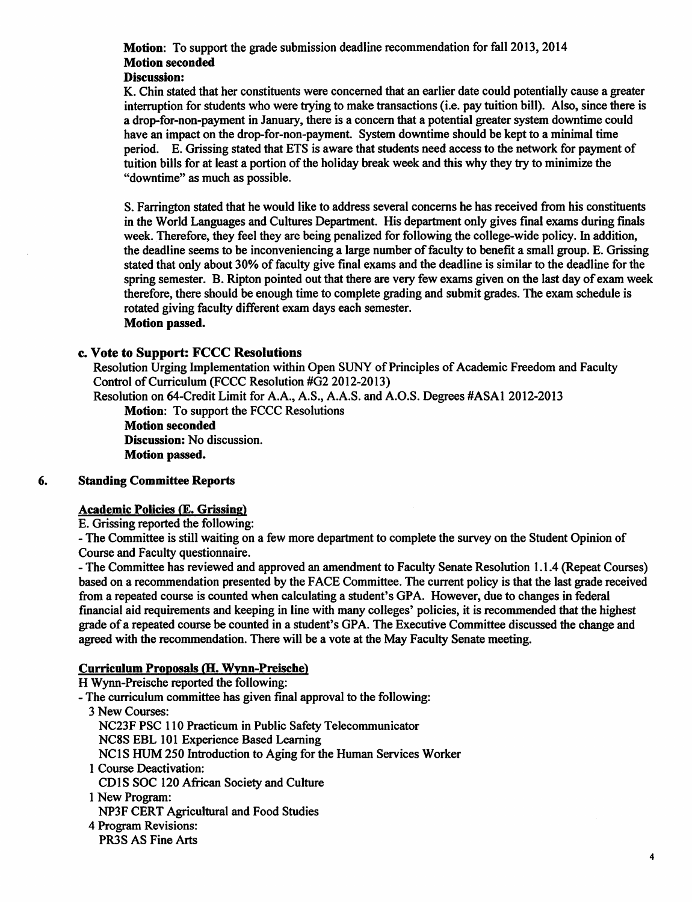# *Motion:* To support the grade submission deadline recommendation for fall 2013,2014 *Motion seconded*

#### *Discussion:*

K. Chin stated that her constituents were concerned that an earlier date could potentially cause a greater interruption for students who were trying to make transactions (i.e. pay tuition bill). Also, since there is a drop-for-non-payment in January, there is a concern that a potential greater system downtime could have an impact on the drop-for-non-payment. System downtime should be kept to a minimal time period. E. Grissing stated that ETS is aware that students need access to the network for payment of tuition bills for at least a portion of the holiday break week and this why they try to minimize the "downtime" as much as possible.

S. Farrington stated that he would like to address several concerns he has received from his constituents in the World Languages and Cultures Department. His department only gives final exams during finals week. Therefore, they feel they are being penalized for following the college-wide policy. In addition, the deadline seems to be inconveniencing a large number offaculty to benefit a small group. E. Grissing stated that only about 30% of faculty give final exams and the deadline is similar to the deadline for the spring semester. B. Ripton pointed out that there are very few exams given on the last day of exam week therefore, there should be enough time to complete grading and submit grades. The exam schedule is rotated giving faculty different exam days each semester. *Motion passed.*

### *c. Vote to Support: FCCC Resolutions*

Resolution Urging Implementation within Open SUNY of Principles of Academic Freedom and Faculty Control of Curriculum (FCCC Resolution #G2 2012-2013)

Resolution on 64-Credit Limit for A.A., A.S., A.A.S. and A.O.S. Degrees #ASA1 2012-2013 *Motion:* To support the FCCC Resolutions

*Motion seconded Discussion:* No discussion. *Motion passed.*

#### *6. Standing Committee Reports*

#### *Academic Policies* (E. *Grissing)*

E. Grissing reported the following:

- The Committee is still waiting on a few more department to complete the survey on the Student Opinion of Course and Faculty questionnaire.

- The Committee has reviewed and approved an amendment to Faculty Senate Resolution 1.1.4 (Repeat Courses) based on a recommendation presented by the FACE Committee. The current policy is that the last grade received from a repeated course is counted when calculating a student's GPA. However, due to changes in federal financial aid requirements and keeping in line with many colleges' policies, it is recommended that the highest grade of a repeated course be counted in a student's GPA. The Executive Committee discussed the change and agreed with the recommendation. There will be a vote at the May Faculty Senate meeting.

#### *Curriculum Proposals (H. Wvnn-Preische)*

H Wynn-Preische reported the following:

- The curriculum committee has given final approval to the following:
	- 3 New Courses: NC23F PSC 110 Practicum in Public Safety Telecommunicator NC8S EBL 101 Experience Based Learning NC1S HUM 250 Introduction to Aging for the Human Services Worker 1 Course Deactivation: CD1S SOC 120 African Society and Culture 1 New Program:
	- NP3F CERT Agricultural and Food Studies
	- 4 Program Revisions: PR3S AS Fine Arts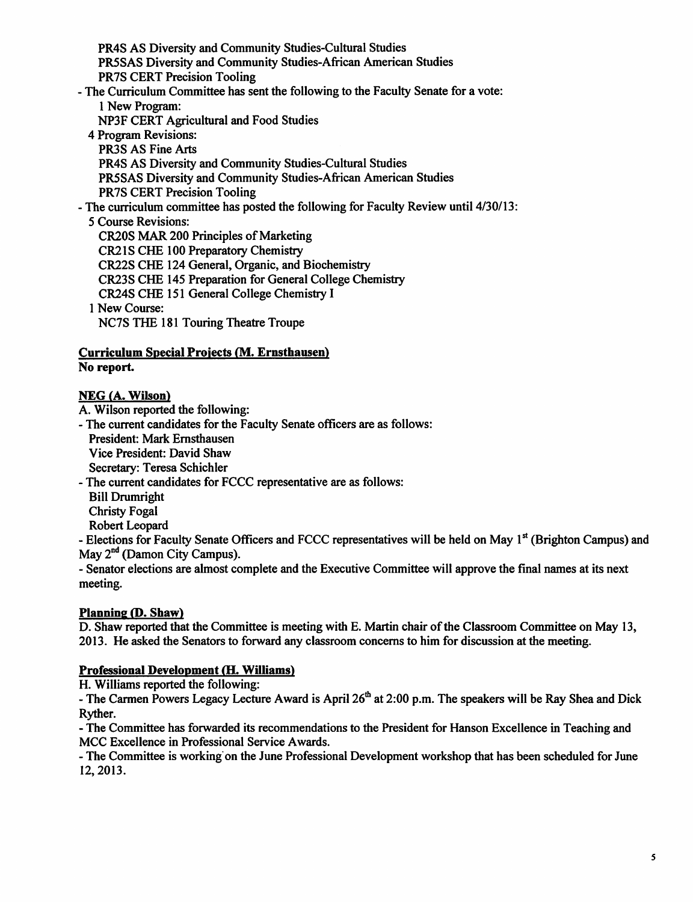PR4S AS Diversity and Community Studies-Cultural Studies PR5SAS Diversity and Community Studies-African American Studies PR7S CERT Precision Tooling - The Curriculum Committee has sent the following to the Faculty Senate for a vote: 1 New Program: NP3F CERT Agricultural and Food Studies 4 Program Revisions: PR3S AS Fine Arts PR4S AS Diversity and Community Studies-Cultural Studies PR5SAS Diversity and Community Studies-African American Studies PR7S CERT Precision Tooling - The curriculum committee has posted the following for Faculty Review until 4/30/13: 5 Course Revisions: CR20S MAR 200 Principles of Marketing CR21S CHE 100 Preparatory Chemistry CR22S CHE 124 General, Organic, and Biochemistry CR23S CHE 145 Preparation for General College Chemistry CR24S CHE 151 General College Chemistry I 1 New Course: NC7S THE 181 Touring Theatre Troupe

#### *Curriculum Special Projects (M. Ernsthausen) No report.*

# NEG *(A. Wilson)*

A. Wilson reported the following:

- The current candidates for the Faculty Senate officers are as follows:

President: Mark Ernsthausen Vice President: David Shaw Secretary: Teresa Schichler

- The current candidates for FCCC representative are as follows:

Bill Drumright

Christy Fogal

Robert Leopard

- Elections for Faculty Senate Officers and FCCC representatives will be held on May 1<sup>st</sup> (Brighton Campus) and May  $2<sup>nd</sup>$  (Damon City Campus).

- Senator elections are almost complete and the Executive Committee will approve the final names at its next meeting.

# *Planning (P. Shaw)*

D. Shaw reported that the Committee is meeting with E. Martin chair of the Classroom Committee on May 13, 2013. He asked the Senators to forward any classroom concerns to him for discussion at the meeting.

# *Professional Development (H. Williams)*

H. Williams reported the following:

- The Carmen Powers Legacy Lecture Award is April  $26<sup>th</sup>$  at 2:00 p.m. The speakers will be Ray Shea and Dick Ryther.

- The Committee has forwarded its recommendations to the President for Hanson Excellence in Teaching and MCC Excellence in Professional Service Awards.

- The Committee is working on the June Professional Development workshop that has been scheduled for June 12,2013.